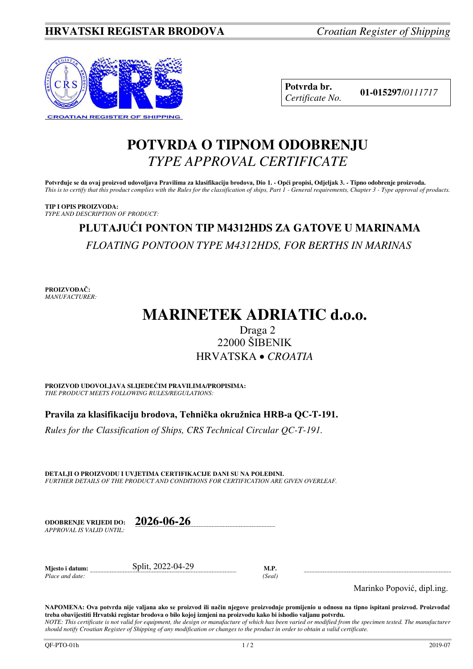

**Potvrda br. 01-015297**/*<sup>0111717</sup> Certificate No.* 

# **POTVRDA O TIPNOM ODOBRENJU**  *TYPE APPROVAL CERTIFICATE*

**Potvrđuje se da ovaj proizvod udovoljava Pravilima za klasifikaciju brodova, Dio 1. - Opći propisi, Odjeljak 3. - Tipno odobrenje proizvoda.**  *This is to certify that this product complies with the Rules for the classification of ships, Part 1 - General requirements, Chapter 3 - Type approval of products.* 

**TIP I OPIS PROIZVODA:** *TYPE AND DESCRIPTION OF PRODUCT:* 

# **PLUTAJUĆI PONTON TIP M4312HDS ZA GATOVE U MARINAMA**  *FLOATING PONTOON TYPE M4312HDS, FOR BERTHS IN MARINAS*

**PROIZVOĐAČ:** *MANUFACTURER:*

# **MARINETEK ADRIATIC d.o.o.**

# Draga 2 22000 ŠIBENIK HRVATSKA *CROATIA*

**PROIZVOD UDOVOLJAVA SLIJEDEĆIM PRAVILIMA/PROPISIMA:** *THE PRODUCT MEETS FOLLOWING RULES/REGULATIONS:* 

**Pravila za klasifikaciju brodova, Tehnička okružnica HRB-a QC-T-191.** 

*Rules for the Classification of Ships, CRS Technical Circular QC-T-191.*

**DETALJI O PROIZVODU I UVJETIMA CERTIFIKACIJE DANI SU NA POLEĐINI.** *FURTHER DETAILS OF THE PRODUCT AND CONDITIONS FOR CERTIFICATION ARE GIVEN OVERLEAF.* 

**ODOBRENJE VRIJEDI DO: 2026-06-26** *APPROVAL IS VALID UNTIL:*

**Mjesto i datum:** Split, 2022-04-29 **M.P.**  *Place and date: (Seal)* 

Marinko Popović, dipl.ing.

**NAPOMENA: Ova potvrda nije valjana ako se proizvod ili način njegove proizvodnje promijenio u odnosu na tipno ispitani proizvod. Proizvođač treba obavijestiti Hrvatski registar brodova o bilo kojoj izmjeni na proizvodu kako bi ishodio valjanu potvrdu.**  *NOTE: This certificate is not valid for equipment, the design or manufacture of which has been varied or modified from the specimen tested. The manufacturer* 

*should notify Croatian Register of Shipping of any modification or changes to the product in order to obtain a valid certificate.*